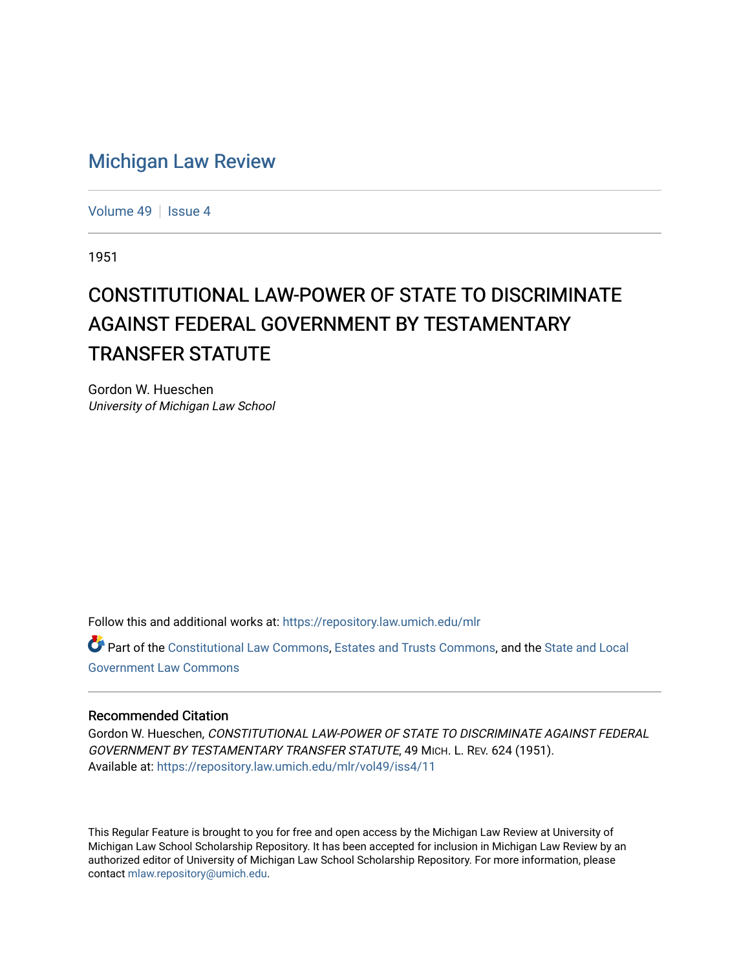## [Michigan Law Review](https://repository.law.umich.edu/mlr)

[Volume 49](https://repository.law.umich.edu/mlr/vol49) | [Issue 4](https://repository.law.umich.edu/mlr/vol49/iss4)

1951

## CONSTITUTIONAL LAW-POWER OF STATE TO DISCRIMINATE AGAINST FEDERAL GOVERNMENT BY TESTAMENTARY TRANSFER STATUTE

Gordon W. Hueschen University of Michigan Law School

Follow this and additional works at: [https://repository.law.umich.edu/mlr](https://repository.law.umich.edu/mlr?utm_source=repository.law.umich.edu%2Fmlr%2Fvol49%2Fiss4%2F11&utm_medium=PDF&utm_campaign=PDFCoverPages) 

Part of the [Constitutional Law Commons,](http://network.bepress.com/hgg/discipline/589?utm_source=repository.law.umich.edu%2Fmlr%2Fvol49%2Fiss4%2F11&utm_medium=PDF&utm_campaign=PDFCoverPages) [Estates and Trusts Commons,](http://network.bepress.com/hgg/discipline/906?utm_source=repository.law.umich.edu%2Fmlr%2Fvol49%2Fiss4%2F11&utm_medium=PDF&utm_campaign=PDFCoverPages) and the State and Local [Government Law Commons](http://network.bepress.com/hgg/discipline/879?utm_source=repository.law.umich.edu%2Fmlr%2Fvol49%2Fiss4%2F11&utm_medium=PDF&utm_campaign=PDFCoverPages) 

## Recommended Citation

Gordon W. Hueschen, CONSTITUTIONAL LAW-POWER OF STATE TO DISCRIMINATE AGAINST FEDERAL GOVERNMENT BY TESTAMENTARY TRANSFER STATUTE, 49 MICH. L. REV. 624 (1951). Available at: [https://repository.law.umich.edu/mlr/vol49/iss4/11](https://repository.law.umich.edu/mlr/vol49/iss4/11?utm_source=repository.law.umich.edu%2Fmlr%2Fvol49%2Fiss4%2F11&utm_medium=PDF&utm_campaign=PDFCoverPages) 

This Regular Feature is brought to you for free and open access by the Michigan Law Review at University of Michigan Law School Scholarship Repository. It has been accepted for inclusion in Michigan Law Review by an authorized editor of University of Michigan Law School Scholarship Repository. For more information, please contact [mlaw.repository@umich.edu](mailto:mlaw.repository@umich.edu).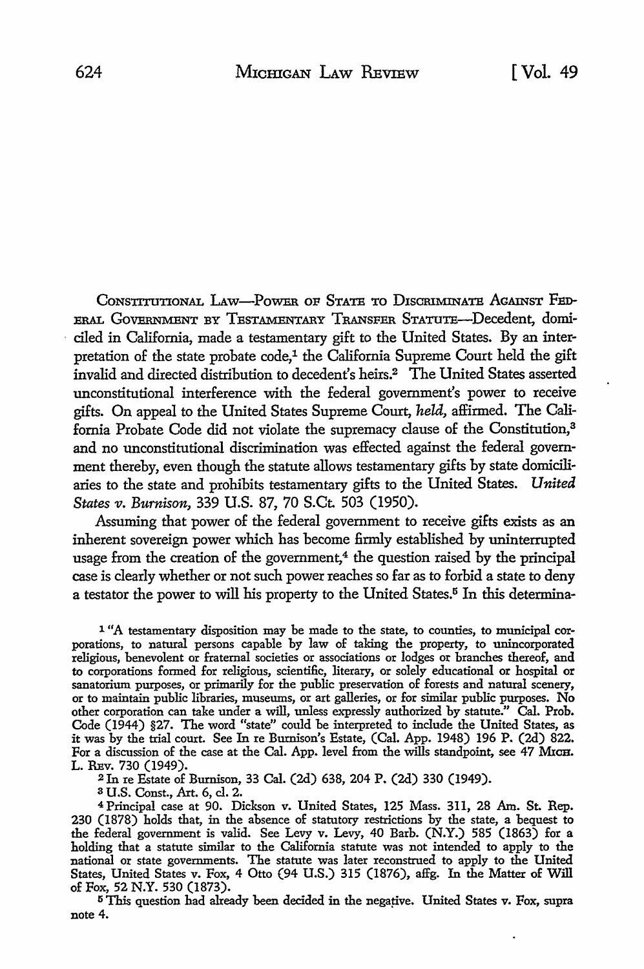CONSTITUTIONAL LAW-POWER OF STATE TO DISCRIMINATE AGAINST FED-ERAL GoVERNMENT BY TESTAMENTARY TRANSFER STATUTE-Decedent, domiciled in California, made a testamentary gift to the United States. By an interpretation of the state probate code,<sup>1</sup> the California Supreme Court held the gift invalid and directed distribution to decedent's heirs.2 The United States asserted unconstitutional interference with the federal government's power to receive gifts. On appeal to the United States Supreme Court, *held,* affirmed. The California Probate Code did not violate the supremacy clause of the Constitution,<sup>3</sup> and no unconstitutional discrimination was effected against the federal government thereby, even though the statute allows testamentary gifts by state domiciliaries to the state and prohibits testamentary gifts to the United States. *United States v. Burnison, 339 U.S. 87, 70 S.Ct. 503 (1950).* 

Assuming that power of the federal government to receive gifts exists as an inherent sovereign power which has become firmly established by uninterrupted usage from the creation of the government, $4$  the question raised by the principal case is clearly whether or not such power reaches so far as to forbid a state to deny a testator the power to will his property to the United States.<sup>5</sup> In this determina-

<sup>1</sup> "A testamentary disposition may be made to the state, to counties, to municipal corporations, to natural persons capable by law of taking the property, to unincorporated religious, benevolent or fraternal societies or associations or lodges or branches thereof, and to corporations formed for religious, scientific, literary, or solely educational or hospital or sanatorium purposes, or primarily for the public preservation of forests and natural scenery, or to maintain public libraries, museums, or art galleries, or for similar public purposes. **No**  other corporation can take under a will, unless expressly authorized by statute." Cal. Prob. Code (1944) §27. The word "state" could be interpreted to include the United States, as it was by the trial court. See In re Bumison's Estate, (Cal. App. 1948) 196 P. (2d) 822. For a discussion of the case at the Cal. App. level from the wills standpoint, see 47 MxcH. L. REv. 730 (1949).

<sup>2</sup>In re Estate of Burnison, 33 Cal. (2d) 638, 204 P. (2d) 330 (1949).

a U.S. Const., Art. 6, cl. 2.

<sup>4</sup>Principal case at 90. Dickson v. United States, 125 Mass. 311, 28 Am. St. Rep. 230 (1878) holds that, in the absence of statutory restrictions by the state, a bequest to the federal government is valid. See Levy v. Levy, 40 Barb. (N.Y.) 585 (1863) for a holding that a statute similar to the California statute was not intended to apply to the national or state governments. The statute was later reconstrued to apply to the United States, United States v. Fox, 4 Otto (94 U.S.) 315 (1876), affg. In the Matter of Will of Fox, 52 N.Y. 530 (1873).

<sup>5</sup> This question had already been decided in the negative. United States v. Fox, supra note 4.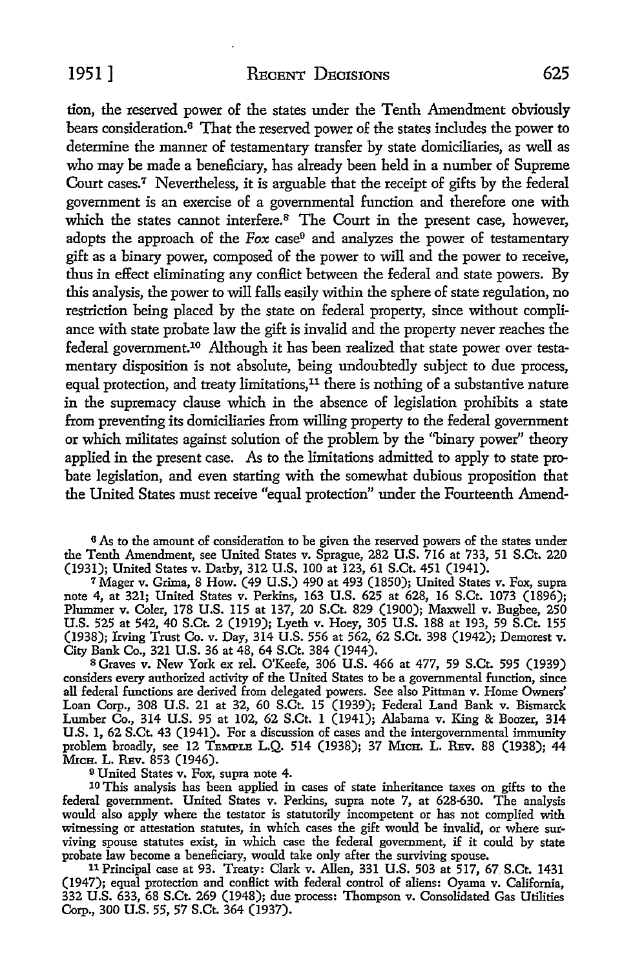tion, the reserved power of the states under the Tenth Amendment obviously bears consideration.6 That the reserved power of the states includes the power to determine the manner of testamentary transfer by state domiciliaries, as well as who may be made a beneficiary, has already been held in a number of Supreme Court cases.7 Nevertheless, it is arguable that the receipt of gifts by the federal government is an exercise of a governmental function and therefore one with which the states cannot interfere. $8$  The Court in the present case, however, adopts the approach of the *Fox* case9 and analyzes the power of testamentary gift as a binary power, composed of the power to will and the power to receive, thus in effect eliminating any conflict between the federal and state powers. By this analysis, the power to will falls easily within the sphere of state regulation, no restriction being placed by the state on federal property, since without compliance with state probate law the gift is invalid and the property never reaches the federal govemment.10 Although it has been realized that state power over testamentary disposition is not absolute, being undoubtedly subject to due process, equal protection, and treaty limitations,<sup>11</sup> there is nothing of a substantive nature in the supremacy clause which in the absence of legislation prohibits a state from preventing its domiciliaries from willing property to the federal government or which militates against solution of the problem by the ''binary power" theory applied in the present case. As to the limitations admitted to apply to state probate legislation, and even starting with the somewhat dubious proposition that the United States must receive "equal protection" under the Fourteenth Amend-

<sup>6</sup> As to the amount of consideration to be given the reserved powers of the states under the Tenth Amendment, see United States v. Sprague, 282 U.S. 716 at 733, 51 S.Ct. 220 (1931); United States v. Darby, 312 U.S. 100 at 123, 61 S.Ct. 451 (1941).

<sup>7</sup>Mager v. Grima, 8 How. (49 U.S.) 490 at 493 (1850); United States v. Fox, supra note 4, at 321; United States v. Perkins, 163 U.S. 625 at 628, 16 S.Ct. 1073 (1896); Plummer v. Coler, 178 U.S. 115 at 137, 20 S.Ct. 829 (1900); Maxwell v. Bugbee, 250 U.S. 525 at 542, 40 S.Ct. 2 (1919); Lyeth v. Hoey, 305 U.S. 188 at 193, 59 S.Ct. 155 (1938); Irving Trust Co. v. Day, 314 U.S. 556 at 562, 62 S.Ct. 398 (1942); Demorest v. City Bank Co., 321 U.S. 36 at 48, 64 S.Ct. 384 (1944).

<sup>8</sup>Graves v. New York ex rel. O'Keefe, 306 U.S. 466 at 477, 59 S.Ct. 595 (1939) considers every authorized activity of the United States to be a governmental function, since all federal functions are derived from delegated powers. See also Pittman v. Home Owners' Loan Corp., 308 U.S. 21 at 32, 60 S.Ct. 15 (1939); Federal Land Bank v. Bismarck Lumber Co., 314 U.S. 95 at 102, 62 S.Ct. 1 (1941); Alabama v. King & Boozer, 314 U.S. 1, 62 S.Ct. 43 (1941). For a discussion of cases and the intergovernmental immunity problem broadly, see 12 TEMPLE L.Q. 514 (1938); 37 MicH. L. REv. 88 (1938); 44 MICH. L. REV. 853 (1946).

<sup>9</sup>United States v. Fox, supra note 4.

10 This analysis has been applied in cases of state inheritance taxes on gifts to the federal government. United States v. Perkins, supra note 7, at 628-630. The analysis would also apply where the testator is statutorily incompetent or has not complied with witnessing or attestation statutes, in which cases the gift would be invalid, or where surviving spouse statutes exist, in which case the federal government, if it could by state probate law become a beneficiary, would take only after the surviving spouse.

<sup>11</sup>Principal case at 93. Treaty: Clark v. Allen, 331 U.S. 503 at 517, 67. S.Ct. 1431 (1947); equal protection and conflict with federal control of aliens: Oyama v. California, 332 U.S. 633, 68 S.Ct. 269 (1948); due process: Thompson v. Consolidated Gas Utilities Corp., 300 U.S. 55, 57 S.Ct. 364 (1937).